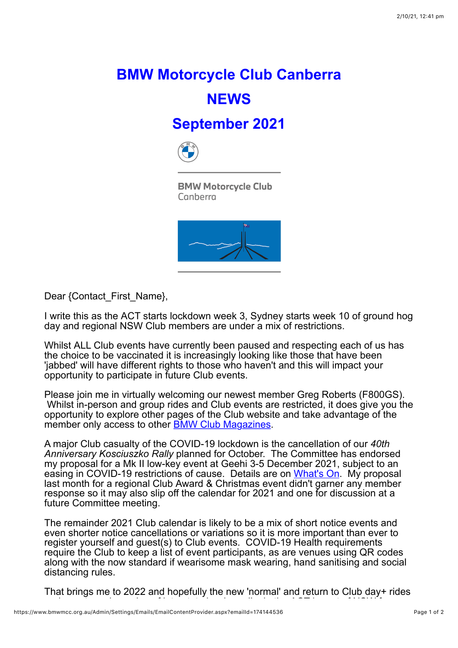## **BMW Motorcycle Club Canberra NEWS**

## **September 2021**



**BMW Motorcycle Club** Canberra



Dear {Contact\_First\_Name},

I write this as the ACT starts lockdown week 3, Sydney starts week 10 of ground hog day and regional NSW Club members are under a mix of restrictions.

Whilst ALL Club events have currently been paused and respecting each of us has the choice to be vaccinated it is increasingly looking like those that have been 'jabbed' will have different rights to those who haven't and this will impact your opportunity to participate in future Club events.

Please join me in virtually welcoming our newest member Greg Roberts (F800GS). Whilst in-person and group rides and Club events are restricted, it does give you the opportunity to explore other pages of the Club website and take advantage of the member only access to other [BMW Club Magazines](https://www.bmwmcc.org.au/BMW-Club-Magazines).

A major Club casualty of the COVID-19 lockdown is the cancellation of our *40th Anniversary Kosciuszko Rally* planned for October. The Committee has endorsed my proposal for a Mk II low-key event at Geehi 3-5 December 2021, subject to an easing in COVID-19 restrictions of cause. Details are on [What's On](https://www.bmwmcc.org.au/page-1419638). My proposal last month for a regional Club Award & Christmas event didn't garner any member response so it may also slip off the calendar for 2021 and one for discussion at a future Committee meeting.

The remainder 2021 Club calendar is likely to be a mix of short notice events and even shorter notice cancellations or variations so it is more important than ever to register yourself and guest(s) to Club events. COVID-19 Health requirements require the Club to keep a list of event participants, as are venues using QR codes along with the now standard if wearisome mask wearing, hand sanitising and social distancing rules.

That brings me to 2022 and hopefully the new 'normal' and return to Club day+ rides and events and opening of interstate borders. It is part of interstate borders. It is part of NSW for NSW for<br>It is part of NSW for NSW for NSW for NSW for NSW for NSW for NSW for NSW for NSW for NSW for NSW for NSW for